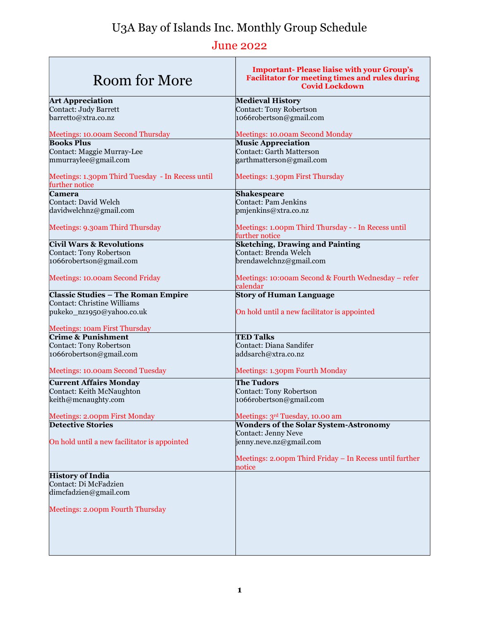## U3A Bay of Islands Inc. Monthly Group Schedule

## June 2022

| Room for More                                                      | <b>Important-Please liaise with your Group's</b><br><b>Facilitator for meeting times and rules during</b><br><b>Covid Lockdown</b> |
|--------------------------------------------------------------------|------------------------------------------------------------------------------------------------------------------------------------|
| <b>Art Appreciation</b>                                            | <b>Medieval History</b>                                                                                                            |
| Contact: Judy Barrett                                              | Contact: Tony Robertson                                                                                                            |
| barretto@xtra.co.nz                                                | 1066robertson@gmail.com                                                                                                            |
| Meetings: 10.00am Second Thursday<br><b>Books Plus</b>             | Meetings: 10.00am Second Monday<br><b>Music Appreciation</b>                                                                       |
| Contact: Maggie Murray-Lee                                         | Contact: Garth Matterson                                                                                                           |
| mmurraylee@gmail.com                                               | garthmatterson@gmail.com                                                                                                           |
|                                                                    |                                                                                                                                    |
| Meetings: 1.30pm Third Tuesday - In Recess until<br>further notice | Meetings: 1.30pm First Thursday                                                                                                    |
| Camera                                                             | <b>Shakespeare</b>                                                                                                                 |
| Contact: David Welch                                               | <b>Contact: Pam Jenkins</b>                                                                                                        |
| davidwelchnz@gmail.com                                             | pmjenkins@xtra.co.nz                                                                                                               |
| Meetings: 9.30am Third Thursday                                    | Meetings: 1.00pm Third Thursday - - In Recess until<br>further notice                                                              |
| <b>Civil Wars &amp; Revolutions</b>                                | <b>Sketching, Drawing and Painting</b>                                                                                             |
| Contact: Tony Robertson                                            | Contact: Brenda Welch                                                                                                              |
| 1066robertson@gmail.com                                            | brendawelchnz@gmail.com                                                                                                            |
| Meetings: 10.00am Second Friday                                    | Meetings: 10:00am Second & Fourth Wednesday – refer                                                                                |
|                                                                    | calendar                                                                                                                           |
| <b>Classic Studies - The Roman Empire</b>                          | <b>Story of Human Language</b>                                                                                                     |
| Contact: Christine Williams                                        |                                                                                                                                    |
| pukeko_nz1950@yahoo.co.uk                                          | On hold until a new facilitator is appointed                                                                                       |
| Meetings: 10am First Thursday                                      |                                                                                                                                    |
| <b>Crime &amp; Punishment</b>                                      | <b>TED Talks</b>                                                                                                                   |
| Contact: Tony Robertson                                            | Contact: Diana Sandifer                                                                                                            |
| 1066robertson@gmail.com                                            | addsarch@xtra.co.nz                                                                                                                |
| Meetings: 10.00am Second Tuesday                                   | Meetings: 1.30pm Fourth Monday                                                                                                     |
| <b>Current Affairs Monday</b>                                      | The Tudors                                                                                                                         |
| Contact: Keith McNaughton                                          | Contact: Tony Robertson                                                                                                            |
| keith@mcnaughty.com                                                | 1066robertson@gmail.com                                                                                                            |
| Meetings: 2.00pm First Monday                                      | Meetings: 3rd Tuesday, 10.00 am                                                                                                    |
| <b>Detective Stories</b>                                           | <b>Wonders of the Solar System-Astronomy</b>                                                                                       |
| On hold until a new facilitator is appointed                       | Contact: Jenny Neve<br>jenny.neve.nz@gmail.com                                                                                     |
|                                                                    |                                                                                                                                    |
|                                                                    | Meetings: 2.00pm Third Friday - In Recess until further<br>notice                                                                  |
| <b>History of India</b>                                            |                                                                                                                                    |
| Contact: Di McFadzien                                              |                                                                                                                                    |
| dimcfadzien@gmail.com                                              |                                                                                                                                    |
| Meetings: 2.00pm Fourth Thursday                                   |                                                                                                                                    |
|                                                                    |                                                                                                                                    |
|                                                                    |                                                                                                                                    |
|                                                                    |                                                                                                                                    |